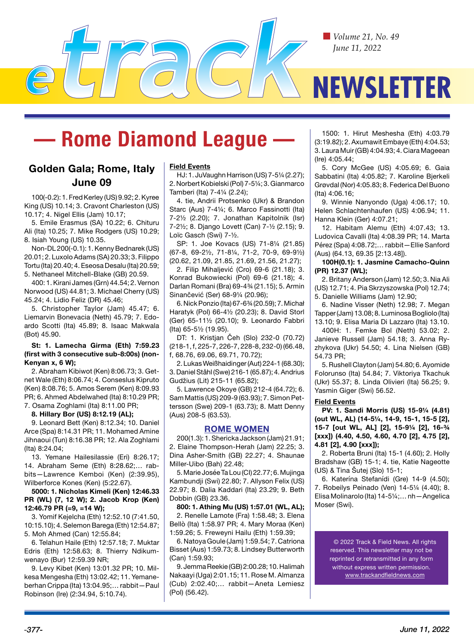*Volume 21, No. 49 June 11, 2022*

# **NEWSLETTER**

## **— Rome Diamond League —**

## **Golden Gala; Rome, Italy June 09**

100(-0.2): 1. Fred Kerley (US) 9.92; 2. Kyree King (US) 10.14; 3. Cravont Charleston (US) 10.17; 4. Nigel Ellis (Jam) 10.17;

5. Emile Erasmus (SA) 10.22; 6. Chituru Ali (Ita) 10.25; 7. Mike Rodgers (US) 10.29; 8. Isiah Young (US) 10.35.

Non-DL 200(-0.1): 1. Kenny Bednarek (US) 20.01; 2. Luxolo Adams (SA) 20.33; 3. Filippo Tortu (Ita) 20.40; 4. Eseosa Desalu (Ita) 20.59; 5. Nethaneel Mitchell-Blake (GB) 20.59.

400: 1. Kirani James (Grn) 44.54; 2. Vernon Norwood (US) 44.81; 3. Michael Cherry (US) 45.24; 4. Lidio Feliz (DR) 45.46;

5. Christopher Taylor (Jam) 45.47; 6. Liemarvin Bonevacia (Neth) 45.79; 7. Edoardo Scotti (Ita) 45.89; 8. Isaac Makwala (Bot) 45.90.

#### **St: 1. Lamecha Girma (Eth) 7:59.23 (first with 3 consecutive sub-8:00s) (non-Kenyan x, 6 W);**

2. Abraham Kibiwot (Ken) 8:06.73; 3. Getnet Wale (Eth) 8:06.74; 4. Conseslus Kipruto (Ken) 8:08.76; 5. Amos Serem (Ken) 8:09.93 PR; 6. Ahmed Abdelwahed (Ita) 8:10.29 PR; 7. Osama Zoghlami (Ita) 8:11.00 PR;

## **8. Hillary Bor (US) 8:12.19 (AL);**

9. Leonard Bett (Ken) 8:12.34; 10. Daniel Arce (Spa) 8:14.31 PR; 11. Mohamed Amine Jihnaoui (Tun) 8:16.38 PR; 12. Ala Zoghlami (Ita) 8:24.04;

13. Yemane Hailesilassie (Eri) 8:26.17; 14. Abraham Seme (Eth) 8:28.62;… rabbits—Lawrence Kemboi (Ken) (2:39.95), Wilberforce Kones (Ken) (5:22.67).

**5000: 1. Nicholas Kimeli (Ken) 12:46.33 PR (WL) (7, 12 W); 2. Jacob Krop (Ken) 12:46.79 PR (=9, =14 W);** 

3. Yomif Kejelcha (Eth) 12:52.10 (7:41.50, 10:15.10); 4. Selemon Barega (Eth) 12:54.87; 5. Moh Ahmed (Can) 12:55.84;

6. Telahun Haile (Eth) 12:57.18; 7. Muktar Edris (Eth) 12:58.63; 8. Thierry Ndikumwenayo (Bur) 12:59.39 NR;

9. Levy Kibet (Ken) 13:01.32 PR; 10. Milkesa Mengesha (Eth) 13:02.42; 11. Yemaneberhan Crippa (Ita) 13:04.95;… rabbit—Paul Robinson (Ire) (2:34.94, 5:10.74).

#### **Field Events**

HJ: 1. JuVaughn Harrison (US) 7-5¼ (2.27); 2. Norbert Kobielski (Pol) 7-5¼; 3. Gianmarco Tamberi (Ita) 7-4¼ (2.24);

4. tie, Andrii Protsenko (Ukr) & Brandon Starc (Aus) 7-4¼; 6. Marco Fassinotti (Ita) 7-2½ (2.20); 7. Jonathan Kapitolnik (Isr) 7-2½; 8. Django Lovett (Can) 7-½ (2.15); 9. Loïc Gasch (Swi) 7-½.

SP: 1. Joe Kovacs (US) 71-8¼ (21.85) (67-8, 69-2½, 71-8¼, 71-2, 70-9, 69-9½) (20.62, 21.09, 21.85, 21.69, 21.56, 21.27);

2. Filip Mihaljević (Cro) 69-6 (21.18); 3. Konrad Bukowiecki (Pol) 69-6 (21.18); 4. Darlan Romani (Bra) 69-4¾ (21.15); 5. Armin Sinančević (Ser) 68-9¼ (20.96);

6. Nick Ponzio (Ita) 67-6¾ (20.59); 7. Michał Haratyk (Pol) 66-4½ (20.23); 8. David Storl (Ger) 65-11½ (20.10); 9. Leonardo Fabbri (Ita) 65-5½ (19.95).

DT: 1. Kristjan Čeh (Slo) 232-0 (70.72) (218-1, f, 225-7, 226-7, 228-8, 232-0) (66.48, f, 68.76, 69.06, 69.71, 70.72);

2. Lukas Weißhaidinger (Aut) 224-1 (68.30); 3. Daniel Ståhl (Swe) 216-1 (65.87); 4. Andrius Gudžius (Lit) 215-11 (65.82);

5. Lawrence Okoye (GB) 212-4 (64.72); 6. Sam Mattis (US) 209-9 (63.93); 7. Simon Pettersson (Swe) 209-1 (63.73); 8. Matt Denny (Aus) 208-5 (63.53).

## **ROME WOMEN**

200(1.3): 1. Shericka Jackson (Jam) 21.91; 2. Elaine Thompson-Herah (Jam) 22.25; 3. Dina Asher-Smith (GB) 22.27; 4. Shaunae Miller-Uibo (Bah) 22.48;

5. Marie Josée Ta Lou (CI) 22.77; 6. Mujinga Kambundji (Swi) 22.80; 7. Allyson Felix (US) 22.97; 8. Dalia Kaddari (Ita) 23.29; 9. Beth Dobbin (GB) 23.36.

**800: 1. Athing Mu (US) 1:57.01 (WL, AL);**  2. Renelle Lamote (Fra) 1:58.48; 3. Elena Bellò (Ita) 1:58.97 PR; 4. Mary Moraa (Ken) 1:59.26; 5. Freweyni Hailu (Eth) 1:59.39;

6. Natoya Goule (Jam) 1:59.54; 7. Catriona Bisset (Aus) 1:59.73; 8. Lindsey Butterworth (Can) 1:59.93;

9. Jemma Reekie (GB) 2:00.28; 10. Halimah Nakaayi (Uga) 2:01.15; 11. Rose M. Almanza (Cub) 2:02.40;… rabbit—Aneta Lemiesz (Pol) (56.42).

1500: 1. Hirut Meshesha (Eth) 4:03.79 (3:19.82); 2. Axumawit Embaye (Eth) 4:04.53; 3. Laura Muir (GB) 4:04.93; 4. Ciara Mageean (Ire) 4:05.44;

5. Cory McGee (US) 4:05.69; 6. Gaia Sabbatini (Ita) 4:05.82; 7. Karoline Bierkeli Grøvdal (Nor) 4:05.83; 8. Federica Del Buono (Ita) 4:06.16;

9. Winnie Nanyondo (Uga) 4:06.17; 10. Helen Schlachtenhaufen (US) 4:06.94; 11. Hanna Klein (Ger) 4:07.21;

12. Habitam Alemu (Eth) 4:07.43; 13. Ludovica Cavalli (Ita) 4:08.39 PR; 14. Marta Pérez (Spa) 4:08.72;… rabbit—Ellie Sanford (Aus) (64.13, 69.35 [2:13.48]).

### **100H(0.1): 1. Jasmine Camacho-Quinn (PR) 12.37 (WL);**

2. Britany Anderson (Jam) 12.50; 3. Nia Ali (US) 12.71; 4. Pia Skrzyszowska (Pol) 12.74; 5. Danielle Williams (Jam) 12.90;

6. Nadine Visser (Neth) 12.98; 7. Megan Tapper (Jam) 13.08; 8. Luminosa Bogliolo (Ita) 13.10; 9. Elisa Maria Di Lazzaro (Ita) 13.10.

400H: 1. Femke Bol (Neth) 53.02; 2. Janieve Russell (Jam) 54.18; 3. Anna Ryzhykova (Ukr) 54.50; 4. Lina Nielsen (GB) 54.73 PR;

5. Rushell Clayton (Jam) 54.80; 6. Ayomide Folorunso (Ita) 54.84; 7. Viktoriya Tkachuk (Ukr) 55.37; 8. Linda Olivieri (Ita) 56.25; 9. Yasmin Giger (Swi) 56.52.

## **Field Events**

**PV: 1. Sandi Morris (US) 15-9¼ (4.81) (out WL, AL) (14-5¼, 14-9, 15-1, 15-5 [2], 15-7 [out WL, AL] [2], 15-9¼ [2], 16-¾ [xxx]) (4.40, 4.50, 4.60, 4.70 [2], 4.75 [2], 4.81 [2], 4.90 [xxx]);** 

2. Roberta Bruni (Ita) 15-1 (4.60); 2. Holly Bradshaw (GB) 15-1; 4. tie, Katie Nageotte (US) & Tina Šutej (Slo) 15-1;

6. Katerína Stefanídi (Gre) 14-9 (4.50); 7. Robeilys Peinado (Ven) 14-5¼ (4.40); 8. Elisa Molinarolo (Ita) 14-5¼;… nh—Angelica Moser (Swi).

> © 2022 Track & Field News. All rights reserved. This newsletter may not be reprinted or retransmitted in any form without express written permission www.trackandfieldnews.com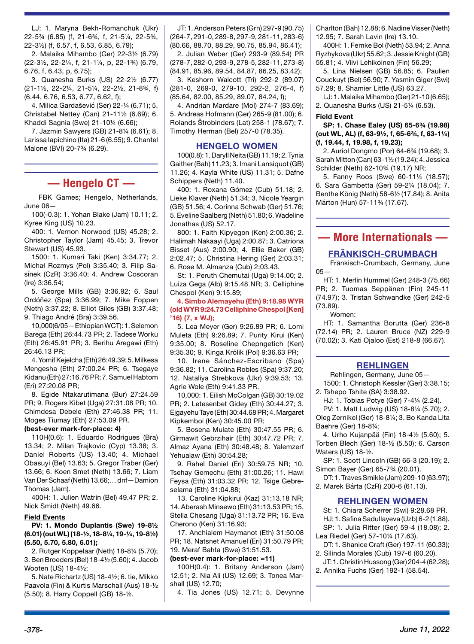LJ: 1. Maryna Bekh-Romanchuk (Ukr) 22-5¾ (6.85) (f, 21-6¾, f, 21-5¼, 22-5¾, 22-3½) (f, 6.57, f, 6.53, 6.85, 6.79);

2. Malaika Mihambo (Ger) 22-3½ (6.79) (22-3½, 22-2¼, f, 21-1¼, p, 22-1¾) (6.79, 6.76, f, 6.43, p, 6.75);

3. Quanesha Burks (US) 22-2½ (6.77) (21-1½, 22-2¼, 21-5¼, 22-2½, 21-8¾, f) (6.44, 6.76, 6.53, 6.77, 6.62, f);

4. Milica Gardašević (Ser) 22-¼ (6.71); 5. Christabel Nettey (Can) 21-11½ (6.69); 6. Khaddi Sagnia (Swe) 21-10¼ (6.66);

7. Jazmin Sawyers (GB) 21-8¼ (6.61); 8. Larissa Iapichino (Ita) 21-6 (6.55); 9. Chantel Malone (BVI) 20-7¾ (6.29).

## **— Hengelo CT —**

FBK Games; Hengelo, Netherlands, June 06—

100(-0.3): 1. Yohan Blake (Jam) 10.11; 2. Kyree King (US) 10.23.

400: 1. Vernon Norwood (US) 45.28; 2. Christopher Taylor (Jam) 45.45; 3. Trevor Stewart (US) 45.93.

1500: 1. Kumari Taki (Ken) 3:34.77; 2. Michał Rozmys (Pol) 3:35.40; 3. Filip Sasínek (CzR) 3:36.40; 4. Andrew Coscoran (Ire) 3:36.54;

5. George Mills (GB) 3:36.92; 6. Saul Ordóñez (Spa) 3:36.99; 7. Mike Foppen (Neth) 3:37.22; 8. Elliot Giles (GB) 3:37.48; 9. Thiago André (Bra) 3:39.56.

10,000(6/05—Ethiopian WCT): 1. Selemon Barega (Eth) 26:44.73 PR; 2. Tadese Worku (Eth) 26:45.91 PR; 3. Berihu Aregawi (Eth) 26:46.13 PR;

4. Yomif Kejelcha (Eth) 26:49.39; 5. Milkesa Mengesha (Eth) 27:00.24 PR; 6. Tsegaye Kidanu (Eth) 27:16.76 PR; 7. Samuel Habtom (Eri) 27:20.08 PR;

8. Egide Ntakarutimana (Bur) 27:24.59 PR; 9. Rogers Kibet (Uga) 27:31.08 PR; 10. Chimdesa Debele (Eth) 27:46.38 PR; 11. Moges Tiumay (Eth) 27:53.09 PR.

#### **(best-ever mark-for-place: 4)**

110H(0.6): 1. Eduardo Rodrigues (Bra) 13.34; 2. Milan Trajkovic (Cyp) 13.38; 3. Daniel Roberts (US) 13.40; 4. Michael Obasuyi (Bel) 13.63; 5. Gregor Traber (Ger) 13.66; 6. Koen Smet (Neth) 13.66; 7. Liam Van Der Schaaf (Neth) 13.66;… dnf—Damion Thomas (Jam).

400H: 1. Julien Watrin (Bel) 49.47 PR; 2. Nick Smidt (Neth) 49.66.

#### **Field Events**

**PV: 1. Mondo Duplantis (Swe) 19-8½ (6.01) (out WL) (18-½, 18-8¼, 19-¼, 19-8½) (5.50, 5.70, 5.80, 6.01);** 

2. Rutger Koppelaar (Neth) 18-8¼ (5.70); 3. Ben Broeders (Bel) 18-4½ (5.60); 4. Jacob Wooten (US) 18-4½;

5. Nate Richartz (US) 18-4½; 6. tie, Mikko Paavola (Fin) & Kurtis Marschall (Aus) 18-½ (5.50); 8. Harry Coppell (GB) 18-½.

JT: 1. Anderson Peters (Grn) 297-9 (90.75) (264-7, 291-0, 289-8, 297-9, 281-11, 283-6) (80.66, 88.70, 88.29, 90.75, 85.94, 86.41);

2. Julian Weber (Ger) 293-9 (89.54) PR (278-7, 282-0, 293-9, 278-5, 282-11, 273-8) (84.91, 85.96, 89.54, 84.87, 86.25, 83.42);

3. Keshorn Walcott (Tri) 292-2 (89.07) (281-0, 269-0, 279-10, 292-2, 276-4, f) (85.64, 82.00, 85.29, 89.07, 84.24, f);

4. Andrian Mardare (Mol) 274-7 (83.69); 5. Andreas Hofmann (Ger) 265-9 (81.00); 6. Rolands Štrobinders (Lat) 258-1 (78.67); 7. Timothy Herman (Bel) 257-0 (78.35).

## **HENGELO WOMEN**

100(0.8): 1. Daryll Neita (GB) 11.19; 2. Tynia Gaither (Bah) 11.23; 3. Imani Lansiquot (GB) 11.26; 4. Kayla White (US) 11.31; 5. Dafne Schippers (Neth) 11.40.

400: 1. Roxana Gómez (Cub) 51.18; 2. Lieke Klaver (Neth) 51.34; 3. Nicole Yeargin (GB) 51.56; 4. Corinna Schwab (Ger) 51.76; 5. Eveline Saalberg (Neth) 51.80; 6. Wadeline Jonathas (US) 52.17.

800: 1. Faith Kipyegon (Ken) 2:00.36; 2. Halimah Nakaayi (Uga) 2:00.87; 3. Catriona Bisset (Aus) 2:00.90; 4. Ellie Baker (GB) 2:02.47; 5. Christina Hering (Ger) 2:03.31; 6. Rose M. Almanza (Cub) 2:03.43.

St: 1. Peruth Chemutai (Uga) 9:14.00; 2. Luiza Gega (Alb) 9:15.48 NR; 3. Celliphine Chespol (Ken) 9:15.89;

## **4. Simbo Alemayehu (Eth) 9:18.98 WYR (old WYR 9:24.73 Celliphine Chespol [Ken] '16) (7, x WJ);**

5. Lea Meyer (Ger) 9:26.89 PR; 6. Lomi Muleta (Eth) 9:26.89; 7. Purity Kirui (Ken) 9:35.00; 8. Roseline Chepngetich (Ken) 9:35.30; 9. Kinga Królik (Pol) 9:36.63 PR;

10. Irene Sánchez-Escribano (Spa) 9:36.82; 11. Carolina Robles (Spa) 9:37.20; 12. Nataliya Strebkova (Ukr) 9:39.53; 13. Agrie Wole (Eth) 9:41.33 PR.

10,000: 1. Eilish McColgan (GB) 30:19.02 PR; 2. Letesenbet Gidey (Eth) 30:44.27; 3. Ejgayehu Taye (Eth) 30:44.68 PR; 4. Margaret Kipkemboi (Ken) 30:45.00 PR;

5. Bosena Mulate (Eth) 30:47.55 PR; 6. Girmawit Gebrzihair (Eth) 30:47.72 PR; 7. Almaz Ayana (Eth) 30:48.48; 8. Yalemzerf Yehualaw (Eth) 30:54.28;

9. Rahel Daniel (Eri) 30:59.75 NR; 10. Tsehay Gemechu (Eth) 31:00.26; 11. Hawi Feysa (Eth) 31:03.32 PR; 12. Tsige Gebreselama (Eth) 31:04.88;

13. Caroline Kipkirui (Kaz) 31:13.18 NR; 14. Aberash Minsewo (Eth) 31:13.53 PR; 15. Stella Chesang (Uga) 31:13.72 PR; 16. Eva Cherono (Ken) 31:16.93;

17. Anchialem Haymanot (Eth) 31:50.08 PR; 18. Natsnet Amanuel (Eri) 31:50.79 PR; 19. Meraf Bahta (Swe) 31:51.53.

## **(best-ever mark-for-place: =11)**

100H(0.4): 1. Britany Anderson (Jam) 12.51; 2. Nia Ali (US) 12.69; 3. Tonea Marshall (US) 12.70;

4. Tia Jones (US) 12.71; 5. Devynne

Charlton (Bah) 12.88; 6. Nadine Visser (Neth) 12.95; 7. Sarah Lavin (Ire) 13.10.

400H: 1. Femke Bol (Neth) 53.94; 2. Anna Ryzhykova (Ukr) 55.62; 3. Jessie Knight (GB) 55.81; 4. Viivi Lehikoinen (Fin) 56.29;

5. Lina Nielsen (GB) 56.85; 6. Paulien Couckuyt (Bel) 56.90; 7. Yasmin Giger (Swi) 57.29; 8. Shamier Little (US) 63.27.

LJ: 1. Malaika Mihambo (Ger) 21-10 (6.65); 2. Quanesha Burks (US) 21-5¼ (6.53).

#### **Field Event**

**SP: 1. Chase Ealey (US) 65-6¾ (19.98) (out WL, AL) (f, 63-9½, f, 65-6¾, f, 63-1¼) (f, 19.44, f, 19.98, f, 19.23);** 

2. Auriol Dongmo (Por) 64-6¾ (19.68); 3. Sarah Mitton (Can) 63-1½ (19.24); 4. Jessica Schilder (Neth) 62-10¾ (19.17) NR;

5. Fanny Roos (Swe) 60-11¼ (18.57); 6. Sara Gambetta (Ger) 59-2¼ (18.04); 7. Benthe König (Neth) 58-6½ (17.84); 8. Anita Márton (Hun) 57-11¾ (17.67).

## **— More Internationals —**

## **FRÄNKISCH-CRUMBACH**

Fränkisch-Crumbach, Germany, June  $05 -$ 

HT: 1. Merlin Hummel (Ger) 248-3 (75.66) PR; 2. Tuomas Seppänen (Fin) 245-11 (74.97); 3. Tristan Schwandke (Ger) 242-5 (73.89).

### Women:

HT: 1. Samantha Borutta (Ger) 236-8 (72.14) PR; 2. Lauren Bruce (NZ) 229-9 (70.02); 3. Kati Ojaloo (Est) 218-8 (66.67).

## **REHLINGEN**

Rehlingen, Germany, June 05— 1500: 1. Christoph Kessler (Ger) 3:38.15;

2. Tshepo Tshite (SA) 3:38.92. HJ: 1. Tobias Potye (Ger) 7-4¼ (2.24).

PV: 1. Matt Ludwig (US) 18-8¼ (5.70); 2. Oleg Zernikel (Ger) 18-8¼; 3. Bo Kanda Lita Baehre (Ger) 18-8¼;

4. Urho Kujanpää (Fin) 18-4½ (5.60); 5. Torben Blech (Ger) 18-½ (5.50); 6. Carson Waters (US) 18-½.

SP: 1. Scott Lincoln (GB) 66-3 (20.19); 2. Simon Bayer (Ger) 65-7¾ (20.01).

DT: 1. Traves Smikle (Jam) 209-10 (63.97); 2. Marek Bárta (CzR) 200-6 (61.13).

## **REHLINGEN WOMEN**

St: 1. Chiara Scherrer (Swi) 9:28.68 PR.

HJ: 1. Safina Sadullayeva (Uzb) 6-2 (1.88). SP: 1. Julia Ritter (Ger) 59-4 (18.08); 2.

Lea Riedel (Ger) 57-10¼ (17.63). DT: 1. Shanice Craft (Ger) 197-11 (60.33);

- 2. Silinda Morales (Cub) 197-6 (60.20). JT: 1. Christin Hussong (Ger) 204-4 (62.28);
- 2. Annika Fuchs (Ger) 192-1 (58.54).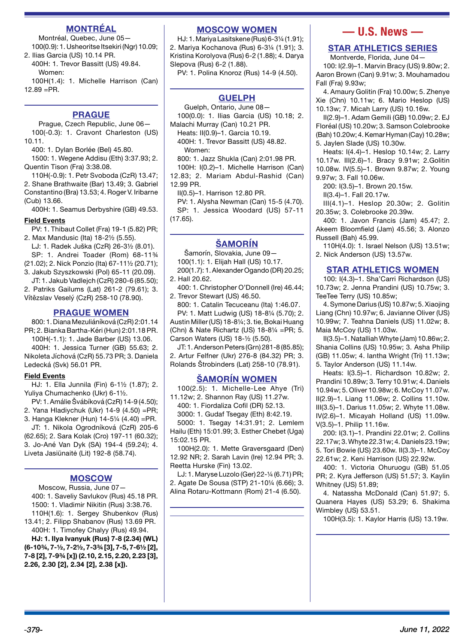## **MONTRÉAL**

Montréal, Quebec, June 05— 100(0.9): 1. Usheoritse Itsekiri (Ngr) 10.09;

2. Ilias Garcia (US) 10.14 PR. 400H: 1. Trevor Bassitt (US) 49.84. Women:

100H(1.4): 1. Michelle Harrison (Can)  $12.89 = PR$ .

## **PRAGUE**

Prague, Czech Republic, June 06— 100(-0.3): 1. Cravont Charleston (US) 10.11.

400: 1. Dylan Borlée (Bel) 45.80.

1500: 1. Wegene Addisu (Eth) 3:37.93; 2. Quentin Tison (Fra) 3:38.08.

110H(-0.9): 1. Petr Svoboda (CzR) 13.47; 2. Shane Brathwaite (Bar) 13.49; 3. Gabriel Constantino (Bra) 13.53; 4. Roger V. Iribarne (Cub) 13.66.

400H: 1. Seamus Derbyshire (GB) 49.53.

### **Field Events**

PV: 1. Thibaut Collet (Fra) 19-1 (5.82) PR; 2. Max Mandusic (Ita) 18-2½ (5.55).

LJ: 1. Radek Juška (CzR) 26-3½ (8.01). SP: 1. Andrei Toader (Rom) 68-11¾

(21.02); 2. Nick Ponzio (Ita) 67-11½ (20.71); 3. Jakub Szyszkowski (Pol) 65-11 (20.09).

JT: 1. Jakub Vadlejch (CzR) 280-6 (85.50); 2. Patriks Gailums (Lat) 261-2 (79.61); 3.

Vítězslav Veselý (CzR) 258-10 (78.90).

## **PRAGUE WOMEN**

800: 1. Diana Mezuliáníková (CzR) 2:01.14 PR; 2. Bianka Bartha-Kéri (Hun) 2:01.18 PR. 100H(-1.1): 1. Jade Barber (US) 13.06.

400H: 1. Jessica Turner (GB) 55.63; 2. Nikoleta Jíchová (CzR) 55.73 PR; 3. Daniela Ledecká (Svk) 56.01 PR.

## **Field Events**

HJ: 1. Ella Junnila (Fin) 6-1½ (1.87); 2. Yuliya Chumachenko (Ukr) 6-1½.

PV: 1. Amálie Švábíková (CzR) 14-9 (4.50); 2. Yana Hladiychuk (Ukr) 14-9 (4.50) =PR;

3. Hanga Klekner (Hun) 14-5¼ (4.40) =PR. JT: 1. Nikola Ogrodníková (CzR) 205-6

(62.65); 2. Sara Kolak (Cro) 197-11 (60.32); 3. Jo-Ané Van Dyk (SA) 194-4 (59.24); 4. Liveta Jasiūnaitė (Lit) 192-8 (58.74).

## **MOSCOW**

Moscow, Russia, June 07— 400: 1. Saveliy Savlukov (Rus) 45.18 PR. 1500: 1. Vladimir Nikitin (Rus) 3:38.76. 110H(1.6): 1. Sergey Shubenkov (Rus) 13.41; 2. Filipp Shabanov (Rus) 13.69 PR. 400H: 1. Timofey Chalyy (Rus) 49.94.

**HJ: 1. Ilya Ivanyuk (Rus) 7-8 (2.34) (WL) (6-10¾, 7-½, 7-2½, 7-3¾ [3], 7-5, 7-6½ [2], 7-8 [2], 7-9¾ [x]) (2.10, 2.15, 2.20, 2.23 [3], 2.26, 2.30 [2], 2.34 [2], 2.38 [x]).**

## **MOSCOW WOMEN**

HJ: 1. Mariya Lasitskene (Rus) 6-3¼ (1.91); 2. Mariya Kochanova (Rus) 6-3¼ (1.91); 3. Kristina Korolyova (Rus) 6-2 (1.88); 4. Darya Slepova (Rus) 6-2 (1.88).

PV: 1. Polina Knoroz (Rus) 14-9 (4.50).

## **GUELPH**

Guelph, Ontario, June 08— 100(0.0): 1. Ilias Garcia (US) 10.18; 2.

Malachi Murray (Can) 10.21 PR. Heats: II(0.9)–1. Garcia 10.19.

400H: 1. Trevor Bassitt (US) 48.82. Women:

800: 1. Jazz Shukla (Can) 2:01.98 PR. 100H: I(0.2)–1. Michelle Harrison (Can) 12.83; 2. Mariam Abdul-Rashid (Can) 12.99 PR.

II(0.5)–1. Harrison 12.80 PR.

PV: 1. Alysha Newman (Can) 15-5 (4.70). SP: 1. Jessica Woodard (US) 57-11  $(17.65)$ .

## **ŠAMORÍN**

Šamorín, Slovakia, June 09—

100(1.1): 1. Elijah Hall (US) 10.17. 200(1.7): 1. Alexander Ogando (DR) 20.25; 2. Hall 20.62.

400: 1. Christopher O'Donnell (Ire) 46.44; 2. Trevor Stewart (US) 46.50.

800: 1. Catalin Tecuceanu (Ita) 1:46.07. PV: 1. Matt Ludwig (US) 18-8¼ (5.70); 2. Austin Miller (US) 18-8¼; 3. tie, Bokai Huang (Chn) & Nate Richartz (US) 18-8¼ =PR; 5. Carson Waters (US) 18-½ (5.50).

JT: 1. Anderson Peters (Grn) 281-8 (85.85); 2. Artur Felfner (Ukr) 276-8 (84.32) PR; 3. Rolands Štrobinders (Lat) 258-10 (78.91).

## **ŠAMORÍN WOMEN**

 $100(2.5)$ : 1. Michelle-Lee Ahye (Tri) 11.12w; 2. Shannon Ray (US) 11.27w. 400: 1. Fiordaliza Cofil (DR) 52.13.

3000: 1. Gudaf Tsegay (Eth) 8:42.19.

5000: 1. Tsegay 14:31.91; 2. Lemlem Hailu (Eth) 15:01.99; 3. Esther Chebet (Uga) 15:02.15 PR.

100H(2.0): 1. Mette Graversgaard (Den) 12.92 NR; 2. Sarah Lavin (Ire) 12.94 PR; 3. Reetta Hurske (Fin) 13.02.

LJ: 1. Maryse Luzolo (Ger) 22-¼ (6.71) PR; 2. Agate De Sousa (STP) 21-10¼ (6.66); 3. Alina Rotaru-Kottmann (Rom) 21-4 (6.50).

## **— U.S. News —**

## **STAR ATHLETICS SERIES**

Montverde, Florida, June 04— 100: I(2.9)–1. Marvin Bracy (US) 9.80w; 2. Aaron Brown (Can) 9.91w; 3. Mouhamadou Fall (Fra) 9.93w;

4. Amaury Golitin (Fra) 10.00w; 5. Zhenye Xie (Chn) 10.11w; 6. Mario Heslop (US) 10.13w; 7. Micah Larry (US) 10.16w.

II(2.9)–1. Adam Gemili (GB) 10.09w; 2. EJ Floréal (US) 10.20w; 3. Samson Colebrooke (Bah) 10.20w; 4. Kemar Hyman (Cay) 10.28w; 5. Jaylen Slade (US) 10.30w.

Heats: I(4.4)–1. Heslop 10.14w; 2. Larry 10.17w. III(2.6)–1. Bracy 9.91w; 2.Golitin 10.08w. IV(5.5)–1. Brown 9.87w; 2. Young 9.97w; 3. Fall 10.06w.

200: I(3.5)–1. Brown 20.15w.

II(3.4)–1. Fall 20.17w.

III(4.1)–1. Heslop 20.30w; 2. Golitin 20.35w; 3. Colebrooke 20.39w.

400: 1. Javon Francis (Jam) 45.47; 2. Akeem Bloomfield (Jam) 45.56; 3. Alonzo Russell (Bah) 45.99.

110H(4.0): 1. Israel Nelson (US) 13.51w; 2. Nick Anderson (US) 13.57w.

## **STAR ATHLETICS WOMEN**

100: I(4.3)–1. Sha'Carri Richardson (US) 10.73w; 2. Jenna Prandini (US) 10.75w; 3. TeeTee Terry (US) 10.85w;

4. Symone Darius (US) 10.87w; 5. Xiaojing Liang (Chn) 10.97w; 6. Javianne Oliver (US) 10.99w; 7. Teahna Daniels (US) 11.02w; 8. Maia McCoy (US) 11.03w.

II(3.5)–1. Natalliah Whyte (Jam) 10.86w; 2. Shania Collins (US) 10.95w; 3. Asha Philip (GB) 11.05w; 4. Iantha Wright (Tri) 11.13w; 5. Taylor Anderson (US) 11.14w.

Heats: I(3.5)–1. Richardson 10.82w; 2. Prandini 10.89w; 3. Terry 10.91w; 4. Daniels 10.94w; 5. Oliver 10.98w; 6. McCoy 11.07w. II(2.9)–1. Liang 11.06w; 2. Collins 11.10w. III(3.5)–1. Darius 11.05w; 2. Whyte 11.08w. IV(2.6)–1. Micayah Holland (US) 11.09w. V(3.5)–1. Philip 11.16w.

200: I(3.1)–1. Prandini 22.01w; 2. Collins 22.17w; 3. Whyte 22.31w; 4. Daniels 23.19w; 5. Tori Bowie (US) 23.60w. II(3.3)–1. McCoy 22.61w; 2. Keni Harrison (US) 22.92w.

400: 1. Victoria Ohuruogu (GB) 51.05 PR; 2. Kyra Jefferson (US) 51.57; 3. Kaylin Whitney (US) 51.89;

4. Natassha McDonald (Can) 51.97; 5. Quanera Hayes (US) 53.29; 6. Shakima Wimbley (US) 53.51.

100H(3.5): 1. Kaylor Harris (US) 13.19w.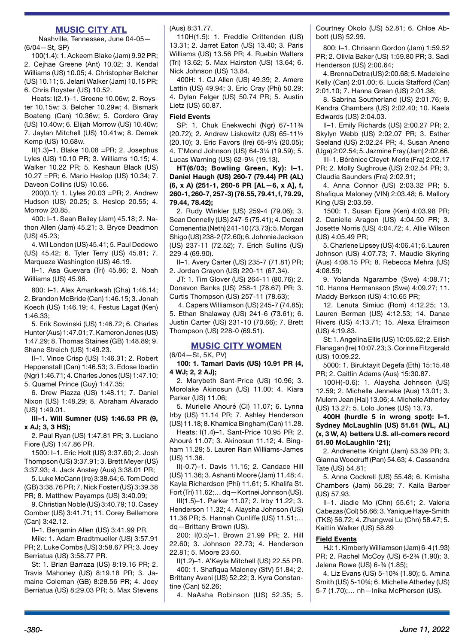## **MUSIC CITY ATL**

Nashville, Tennessee, June 04-05— (6/04—St, SP)

100(1.4): 1. Ackeem Blake (Jam) 9.92 PR; 2. Cejhae Greene (Ant) 10.02; 3. Kendal Williams (US) 10.05; 4. Christopher Belcher (US) 10.11; 5. Jelani Walker (Jam) 10.15 PR; 6. Chris Royster (US) 10.52.

Heats: I(2.1)–1. Greene 10.06w; 2. Royster 10.15w; 3. Belcher 10.29w; 4. Bismark Boateng (Can) 10.36w; 5. Cordero Gray (US) 10.40w; 6. Elijah Morrow (US) 10.40w; 7. Jaylan Mitchell (US) 10.41w; 8. Demek Kemp (US) 10.68w.

II(1.3)–1. Blake 10.08 =PR; 2. Josephus Lyles (US) 10.10 PR; 3. Williams 10.15; 4. Walker 10.22 PR; 5. Keshaun Black (US) 10.27 =PR; 6. Mario Heslop (US) 10.34; 7. Daveon Collins (US) 10.56.

200(0.1): 1. Lyles 20.03 =PR; 2. Andrew Hudson (US) 20.25; 3. Heslop 20.55; 4. Morrow 20.85.

400: I–1. Sean Bailey (Jam) 45.18; 2. Nathon Allen (Jam) 45.21; 3. Bryce Deadmon (US) 45.23;

4. Wil London (US) 45.41; 5. Paul Dedewo (US) 45.42; 6. Tyler Terry (US) 45.81; 7. Marqueze Washington (US) 46.19.

II–1. Asa Guevara (Tri) 45.86; 2. Noah Williams (US) 45.96.

800: I–1. Alex Amankwah (Gha) 1:46.14; 2. Brandon McBride (Can) 1:46.15; 3. Jonah Koech (US) 1:46.19; 4. Festus Lagat (Ken) 1:46.33;

5. Erik Sowinski (US) 1:46.72; 6. Charles Hunter (Aus) 1:47.01; 7. Kameron Jones (US) 1:47.29; 8. Thomas Staines (GB) 1:48.89; 9. Shane Streich (US) 1:49.23.

II–1. Vince Crisp (US) 1:46.31; 2. Robert Heppenstall (Can) 1:46.53; 3. Edose Ibadin (Ngr) 1:46.71; 4. Charles Jones (US) 1:47.10; 5. Quamel Prince (Guy) 1:47.35;

6. Drew Piazza (US) 1:48.11; 7. Daniel Nixon (US) 1:48.29; 8. Abraham Alvarado (US) 1:49.01.

**III–1. Will Sumner (US) 1:46.53 PR (9, x AJ; 3, 3 HS);**

2. Paul Ryan (US) 1:47.81 PR; 3. Luciano Fiore (US) 1:47.86 PR.

1500: I–1. Eric Holt (US) 3:37.60; 2. Josh Thompson (US) 3:37.91; 3. Brett Meyer (US) 3:37.93; 4. Jack Anstey (Aus) 3:38.01 PR;

5. Luke McCann (Ire) 3:38.64; 6. Tom Dodd (GB) 3:38.76 PR; 7. Nick Foster (US) 3:39.38 PR; 8. Matthew Payamps (US) 3:40.09;

9. Christian Noble (US) 3:40.79; 10. Casey Comber (US) 3:41.71; 11. Corey Bellemore (Can) 3:42.12.

II–1. Benjamin Allen (US) 3:41.99 PR.

Mile: 1. Adam Bradtmueller (US) 3:57.91 PR; 2. Luke Combs (US) 3:58.67 PR; 3. Joey Berriatua (US) 3:58.77 PR.

St: 1. Brian Barraza (US) 8:19.16 PR; 2. Travis Mahoney (US) 8:19.18 PR; 3. Jamaine Coleman (GB) 8:28.56 PR; 4. Joey Berriatua (US) 8:29.03 PR; 5. Max Stevens (Aus) 8:31.77.

110H(1.5): 1. Freddie Crittenden (US) 13.31; 2. Jarret Eaton (US) 13.40; 3. Paris Williams (US) 13.56 PR; 4. Ruebin Walters (Tri) 13.62; 5. Max Hairston (US) 13.64; 6. Nick Johnson (US) 13.84.

400H: 1. CJ Allen (US) 49.39; 2. Amere Lattin (US) 49.94; 3. Eric Cray (Phi) 50.29; 4. Dylan Felger (US) 50.74 PR; 5. Austin Lietz (US) 50.87.

## **Field Events**

SP: 1. Chuk Enekwechi (Ngr) 67-11¾ (20.72); 2. Andrew Liskowitz (US) 65-11½ (20.10); 3. Eric Favors (Ire) 65-9½ (20.05); 4. T'Mond Johnson (US) 64-3¼ (19.59); 5. Lucas Warning (US) 62-9¼ (19.13).

**HT(6/03; Bowling Green, Ky): I–1. Daniel Haugh (US) 260-7 (79.44) PR (AL) (6, x A) (251-1, 260-6 PR [AL—6, x A], f, 260‑1, 260-7, 257-3) (76.55, 79.41, f, 79.29, 79.44, 78.42);** 

2. Rudy Winkler (US) 259-4 (79.06); 3. Sean Donnelly (US) 247-5 (75.41); 4. Denzel Comenentia (Neth) 241-10 (73.73); 5. Morgan Shigo (US) 238-2 (72.60); 6. Johnnie Jackson (US) 237-11 (72.52); 7. Erich Sullins (US) 229-4 (69.90).

II–1. Avery Carter (US) 235-7 (71.81) PR; 2. Jordan Crayon (US) 220-11 (67.34).

JT: 1. Tim Glover (US) 264-11 (80.76); 2. Donavon Banks (US) 258-1 (78.67) PR; 3. Curtis Thompson (US) 257-11 (78.63);

 4. Capers Williamson (US) 245-7 (74.85); 5. Ethan Shalaway (US) 241-6 (73.61); 6. Justin Carter (US) 231-10 (70.66); 7. Brett Thompson (US) 228-0 (69.51).

## **MUSIC CITY WOMEN**

(6/04—St, 5K, PV)

**100: 1. Tamari Davis (US) 10.91 PR (4, 4 WJ; 2, 2 AJ);** 

2. Marybeth Sant-Price (US) 10.96; 3. Morolake Akinosun (US) 11.00; 4. Kiara Parker (US) 11.06;

5. Murielle Ahouré (CI) 11.07; 6. Lynna Irby (US) 11.14 PR; 7. Ashley Henderson (US) 11.18; 8. Khamica Bingham (Can) 11.28.

Heats: I(1.4)–1. Sant-Price 10.95 PR; 2. Ahouré 11.07; 3. Akinosun 11.12; 4. Bingham 11.29; 5. Lauren Rain Williams-James (US) 11.36.

II(-0.7)–1. Davis 11.15; 2. Candace Hill (US) 11.36; 3. Ashanti Moore (Jam) 11.48; 4. Kayla Richardson (Phi) 11.61; 5. Khalifa St. Fort (Tri) 11.62;… dq—Kortnei Johnson (US).

III(1.5)–1. Parker 11.07; 2. Irby 11.22; 3. Henderson 11.32; 4. Alaysha Johnson (US) 11.36 PR; 5. Hannah Cunliffe (US) 11.51;… dq—Brittany Brown (US).

200: I(0.5)–1. Brown 21.99 PR; 2. Hill 22.60; 3. Johnson 22.73; 4. Henderson 22.81; 5. Moore 23.60.

II(1.2)–1. A'Keyla Mitchell (US) 22.55 PR. 400: 1. Shafiqua Maloney (StV) 51.84; 2. Brittany Aveni (US) 52.22; 3. Kyra Constantine (Can) 52.26;

4. NaAsha Robinson (US) 52.35; 5.

Courtney Okolo (US) 52.81; 6. Chloe Abbott (US) 52.99.

800: I–1. Chrisann Gordon (Jam) 1:59.52 PR; 2. Olivia Baker (US) 1:59.80 PR; 3. Sadi Henderson (US) 2:00.64;

4. Brenna Detra (US) 2:00.68; 5. Madeleine Kelly (Can) 2:01.00; 6. Lucia Stafford (Can) 2:01.10; 7. Hanna Green (US) 2:01.38;

8. Sabrina Southerland (US) 2:01.76; 9. Kendra Chambers (US) 2:02.40; 10. Kaela Edwards (US) 2:04.03.

II–1. Emily Richards (US) 2:00.27 PR; 2. Skylyn Webb (US) 2:02.07 PR; 3. Esther Seeland (US) 2:02.24 PR; 4. Susan Aneno (Uga) 2:02.54; 5. Jazmine Fray (Jam) 2:02.66.

III–1. Bérénice Cleyet-Merle (Fra) 2:02.17 PR; 2. Molly Sughroue (US) 2:02.54 PR; 3. Claudia Saunders (Fra) 2:02.91;

4. Anna Connor (US) 2:03.32 PR; 5. Shafiqua Maloney (VIN) 2:03.48; 6. Mallory King (US) 2:03.59.

1500: 1. Susan Ejore (Ken) 4:03.98 PR; 2. Danielle Aragon (US) 4:04.50 PR; 3. Josette Norris (US) 4:04.72; 4. Allie Wilson (US) 4:05.49 PR;

5. Charlene Lipsey (US) 4:06.41; 6. Lauren Johnson (US) 4:07.73; 7. Maudie Skyring (Aus) 4:08.15 PR; 8. Rebecca Mehra (US) 4:08.59;

9. Yolanda Ngarambe (Swe) 4:08.71; 10. Hanna Hermansson (Swe) 4:09.27; 11. Maddy Berkson (US) 4:10.65 PR;

12. Lenuta Simiuc (Rom) 4:12.25; 13. Lauren Berman (US) 4:12.53; 14. Danae Rivers (US) 4:13.71; 15. Alexa Efraimson (US) 4:19.83.

St: 1. Angelina Ellis (US) 10:05.62; 2. Eilish Flanagan (Ire) 10:07.23; 3. Corinne Fitzgerald (US) 10:09.22.

5000: 1. Biruktayit Degefa (Eth) 15:15.48 PR; 2. Caitlin Adams (Aus) 15:30.87.

100H(-0.6): 1. Alaysha Johnson (US) 12.59; 2. Michelle Jenneke (Aus) 13.01; 3. Mulern Jean (Hai) 13.06; 4. Michelle Atherley (US) 13.27; 5. Lolo Jones (US) 13.73.

**400H (hurdle 5 in wrong spot): I–1. Sydney McLaughlin (US) 51.61 (WL, AL) (x, 3 W, A) betters U.S. all-comers record 51.90 McLaughlin '21);** 

2. Andrenette Knight (Jam) 53.39 PR; 3. Gianna Woodruff (Pan) 54.63; 4. Cassandra Tate (US) 54.81;

5. Anna Cockrell (US) 55.48; 6. Kimisha Chambers (Jam) 56.28; 7. Kaila Barber (US) 57.93.

II–1. Jiadie Mo (Chn) 55.61; 2. Valeria Cabezas (Col) 56.66; 3. Yanique Haye-Smith (TKS) 56.72; 4. Zhangwei Lu (Chn) 58.47; 5. Kaitlin Walker (US) 58.89

## **Field Events**

HJ: 1. Kimberly Williamson (Jam) 6-4 (1.93) PR; 2. Rachel McCoy (US) 6-2¾ (1.90); 3. Jelena Rowe (US) 6-¾ (1.85);

4. Liz Evans (US) 5-10¾ (1.80); 5. Amina Smith (US) 5-10¾; 6. Michelle Atherley (US) 5-7 (1.70);… nh—Inika McPherson (US).